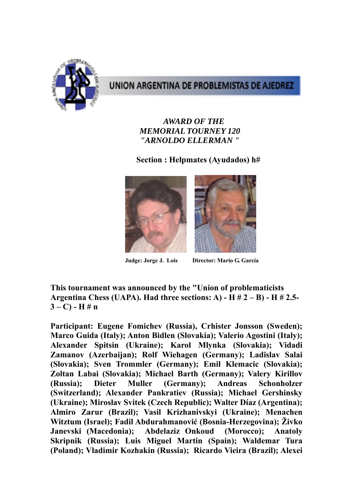

## UNION ARGENTINA DE PROBLEMISTAS DE AJEDREZ

#### *AWARD OF THE MEMORIAL TOURNEY 120 "ARNOLDO ELLERMAN "*

#### **Section : Helpmates (Ayudados) h#**



**Judge: Jorge J. Lois Director: Mario G. García** 

**This tournament was announced by the "Union of problematicists Argentina Chess (UAPA). Had three sections: A) - H # 2 – B) - H # 2.5-**  $3 - C$ ) - H # n

**Participant: Eugene Fomichev (Russia), Crhister Jonsson (Sweden); Marco Guida (Italy); Anton Bidlen (Slovakia); Valerio Agostini (Italy); Alexander Spitsin (Ukraine); Karol Mlynka (Slovakia); Vidadi Zamanov (Azerbaijan); Rolf Wiehagen (Germany); Ladislav Salai (Slovakia); Sven Trommler (Germany); Emil Klemacic (Slovakia); Zoltan Labai (Slovakia); Michael Barth (Germany); Valery Kirillov (Russia); Dieter Muller (Germany); Andreas Schonholzer (Switzerland); Alexander Pankratiev (Russia); Michael Gershinsky (Ukraine); Miroslav Svitek (Czech Republic); Walter Díaz (Argentina); Almiro Zarur (Brazil); Vasil Krizhanivskyi (Ukraine); Menachen Witztum (Israel); Fadil Abdurahmanović (Bosnia-Herzegovina); Živko Janevski (Macedonia); Abdelaziz Onkoud (Morocco); Anatoly Skripnik (Russia); Luis Miguel Martin (Spain); Waldemar Tura (Poland); Vladimir Kozhakin (Russia); Ricardo Vieira (Brazil); Alexei**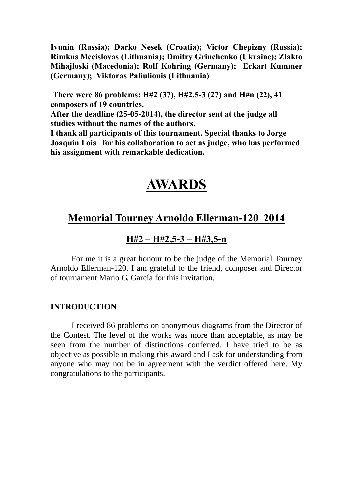**Ivunin (Russia); Darko Nesek (Croatia); Victor Chepizny (Russia); Rimkus Mecislovas (Lithuania); Dmitry Grinchenko (Ukraine); Zlakto Mihajloski (Macedonia); Rolf Kohring (Germany); Eckart Kummer (Germany); Viktoras Paliulionis (Lithuania)** 

**There were 86 problems: H#2 (37), H#2.5-3 (27) and H#n (22), 41 composers of 19 countries.** 

**After the deadline (25-05-2014), the director sent at the judge all studies without the names of the authors.** 

**I thank all participants of this tournament. Special thanks to Jorge Joaquin Lois for his collaboration to act as judge, who has performed his assignment with remarkable dedication.** 

# **AWARDS**

## **Memorial Tourney Arnoldo Ellerman-120 2014**

### **H#2 – H#2,5-3 – H#3,5-n**

For me it is a great honour to be the judge of the Memorial Tourney Arnoldo Ellerman-120. I am grateful to the friend, composer and Director of tournament Mario G. García for this invitation.

#### **INTRODUCTION**

I received 86 problems on anonymous diagrams from the Director of the Contest. The level of the works was more than acceptable, as may be seen from the number of distinctions conferred. I have tried to be as objective as possible in making this award and I ask for understanding from anyone who may not be in agreement with the verdict offered here. My congratulations to the participants.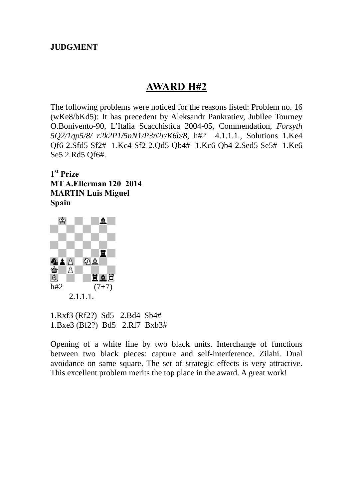#### **JUDGMENT**

## **AWARD H#2**

The following problems were noticed for the reasons listed: Problem no. 16 (wKe8/bKd5): It has precedent by Aleksandr Pankratiev, Jubilee Tourney O.Bonivento-90, L'Italia Scacchistica 2004-05, Commendation, *Forsyth 5Q2/1qp5/8/ r2k2P1/5nN1/P3n2r/K6b/8*, h#2 4.1.1.1., Solutions 1.Ke4 Qf6 2.Sfd5 Sf2# 1.Kc4 Sf2 2.Qd5 Qb4# 1.Kc6 Qb4 2.Sed5 Se5# 1.Ke6 Se5 2.Rd5 Qf6#.

**1st Prize MT A.Ellerman 120 2014 MARTIN Luis Miguel Spain** 



1.Rxf3 (Rf2?) Sd5 2.Bd4 Sb4# 1.Bxe3 (Bf2?) Bd5 2.Rf7 Bxb3#

Opening of a white line by two black units. Interchange of functions between two black pieces: capture and self-interference. Zilahi. Dual avoidance on same square. The set of strategic effects is very attractive. This excellent problem merits the top place in the award. A great work!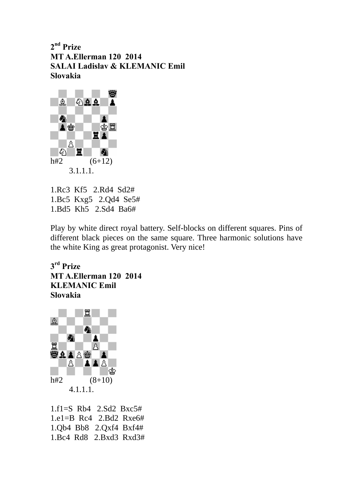**2nd Prize MT A.Ellerman 120 2014 SALAI Ladislav & KLEMANIC Emil Slovakia**



1.Rc3 Kf5 2.Rd4 Sd2# 1.Bc5 Kxg5 2.Qd4 Se5# 1.Bd5 Kh5 2.Sd4 Ba6#

Play by white direct royal battery. Self-blocks on different squares. Pins of different black pieces on the same square. Three harmonic solutions have the white King as great protagonist. Very nice!

**3rd Prize MT A.Ellerman 120 2014 KLEMANIC Emil Slovakia** 



1.f1=S Rb4 2.Sd2 Bxc5# 1.e1=B Rc4 2.Bd2 Rxe6# 1.Qb4 Bb8 2.Qxf4 Bxf4# 1.Bc4 Rd8 2.Bxd3 Rxd3#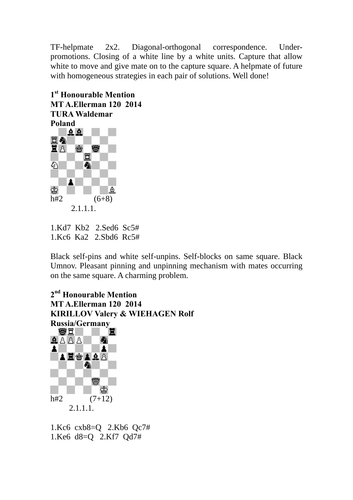TF-helpmate 2x2. Diagonal-orthogonal correspondence. Underpromotions. Closing of a white line by a white units. Capture that allow white to move and give mate on to the capture square. A helpmate of future with homogeneous strategies in each pair of solutions. Well done!



1.Kd7 Kb2 2.Sed6 Sc5# 1.Kc6 Ka2 2.Sbd6 Rc5#

Black self-pins and white self-unpins. Self-blocks on same square. Black Umnov. Pleasant pinning and unpinning mechanism with mates occurring on the same square. A charming problem.

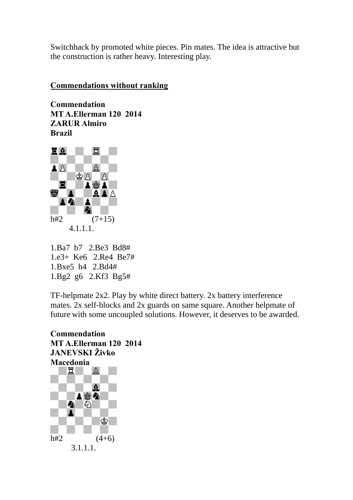Switchback by promoted white pieces. Pin mates. The idea is attractive but the construction is rather heavy. Interesting play.

#### **Commendations without ranking**

**Commendation MT A.Ellerman 120 2014 ZARUR Almiro Brazil**



1.Ba7 b7 2.Be3 Bd8# 1.e3+ Ke6 2.Re4 Be7# 1.Bxe5 h4 2.Bd4# 1.Bg2 g6 2.Kf3 Bg5#

TF-helpmate 2x2. Play by white direct battery. 2x battery interference mates. 2x self-blocks and 2x guards on same square. Another helpmate of future with some uncoupled solutions. However, it deserves to be awarded.

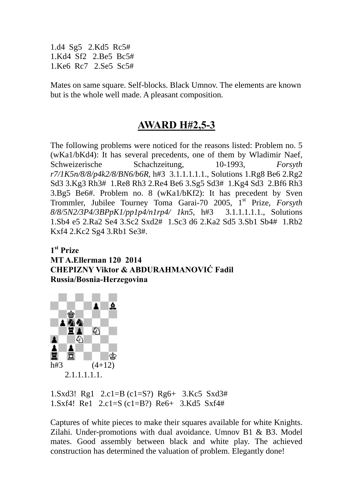1.d4 Sg5 2.Kd5 Rc5# 1.Kd4 Sf2 2.Be5 Bc5# 1.Ke6 Rc7 2.Se5 Sc5#

Mates on same square. Self-blocks. Black Umnov. The elements are known but is the whole well made. A pleasant composition.

## **AWARD H#2,5-3**

The following problems were noticed for the reasons listed: Problem no. 5 (wKa1/bKd4): It has several precedents, one of them by Wladimir Naef, Schweizerische Schachzeitung, 10-1993, *Forsyth r7/1K5n/8/8/p4k2/8/BN6/b6R*, h#3 3.1.1.1.1.1., Solutions 1.Rg8 Be6 2.Rg2 Sd3 3.Kg3 Rh3# 1.Re8 Rh3 2.Re4 Be6 3.Sg5 Sd3# 1.Kg4 Sd3 2.Bf6 Rh3 3.Bg5 Be6#. Problem no. 8 (wKa1/bKf2): It has precedent by Sven Trommler, Jubilee Tourney Toma Garai-70 2005, 1<sup>st</sup> Prize, *Forsyth 8/8/5N2/3P4/3BPpK1/pp1p4/n1rp4/ 1kn5*, h#3 3.1.1.1.1.1., Solutions 1.Sb4 e5 2.Ra2 Se4 3.Sc2 Sxd2# 1.Sc3 d6 2.Ka2 Sd5 3.Sb1 Sb4# 1.Rb2 Kxf4 2.Kc2 Sg4 3.Rb1 Se3#.

**1st Prize MT A.Ellerman 120 2014 CHEPIZNY Viktor & ABDURAHMANOVIĆ Fadil Russia/Bosnia-Herzegovina** 



1.Sxd3! Rg1 2.c1=B (c1=S?) Rg6+ 3.Kc5 Sxd3# 1.Sxf4! Re1 2.c1=S (c1=B?) Re6+ 3.Kd5 Sxf4#

Captures of white pieces to make their squares available for white Knights. Zilahi. Under-promotions with dual avoidance. Umnov B1 & B3. Model mates. Good assembly between black and white play. The achieved construction has determined the valuation of problem. Elegantly done!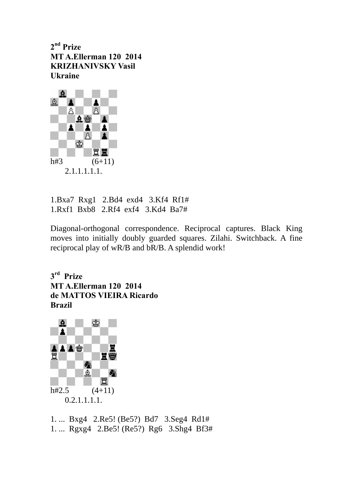**2nd Prize MT A.Ellerman 120 2014 KRIZHANIVSKY Vasil Ukraine** 



1.Bxa7 Rxg1 2.Bd4 exd4 3.Kf4 Rf1# 1.Rxf1 Bxb8 2.Rf4 exf4 3.Kd4 Ba7#

Diagonal-orthogonal correspondence. Reciprocal captures. Black King moves into initially doubly guarded squares. Zilahi. Switchback. A fine reciprocal play of wR/B and bR/B. A splendid work!

**3rd Prize MT A.Ellerman 120 2014 de MATTOS VIEIRA Ricardo Brazil**



1. ... Bxg4 2.Re5! (Be5?) Bd7 3.Seg4 Rd1# 1. ... Rgxg4 2.Be5! (Re5?) Rg6 3.Shg4 Bf3#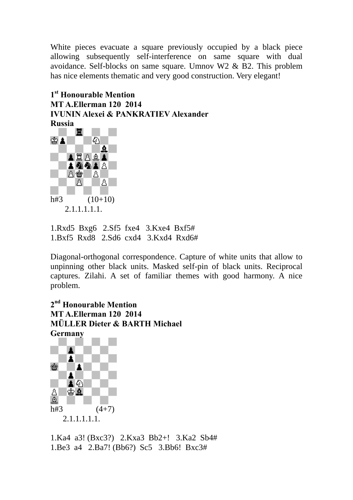White pieces evacuate a square previously occupied by a black piece allowing subsequently self-interference on same square with dual avoidance. Self-blocks on same square. Umnov W2 & B2. This problem has nice elements thematic and very good construction. Very elegant!

## **1st Honourable Mention MT A.Ellerman 120 2014 IVUNIN Alexei & PANKRATIEV Alexander**



1.Rxd5 Bxg6 2.Sf5 fxe4 3.Kxe4 Bxf5# 1.Bxf5 Rxd8 2.Sd6 cxd4 3.Kxd4 Rxd6#

Diagonal-orthogonal correspondence. Capture of white units that allow to unpinning other black units. Masked self-pin of black units. Reciprocal captures. Zilahi. A set of familiar themes with good harmony. A nice problem.

**2nd Honourable Mention MT A.Ellerman 120 2014 MÜLLER Dieter & BARTH Michael Germany**



1.Ka4 a3! (Bxc3?) 2.Kxa3 Bb2+! 3.Ka2 Sb4# 1.Be3 a4 2.Ba7! (Bb6?) Sc5 3.Bb6! Bxc3#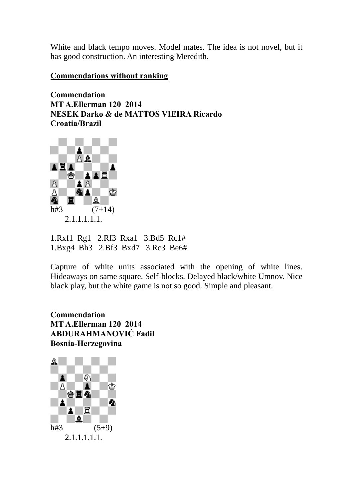White and black tempo moves. Model mates. The idea is not novel, but it has good construction. An interesting Meredith.

#### **Commendations without ranking**

**Commendation MT A.Ellerman 120 2014 NESEK Darko & de MATTOS VIEIRA Ricardo Croatia/Brazil**



1.Rxf1 Rg1 2.Rf3 Rxa1 3.Bd5 Rc1# 1.Bxg4 Bh3 2.Bf3 Bxd7 3.Rc3 Be6#

Capture of white units associated with the opening of white lines. Hideaways on same square. Self-blocks. Delayed black/white Umnov. Nice black play, but the white game is not so good. Simple and pleasant.

**Commendation MT A.Ellerman 120 2014 ABDURAHMANOVIĆ Fadil Bosnia-Herzegovina**

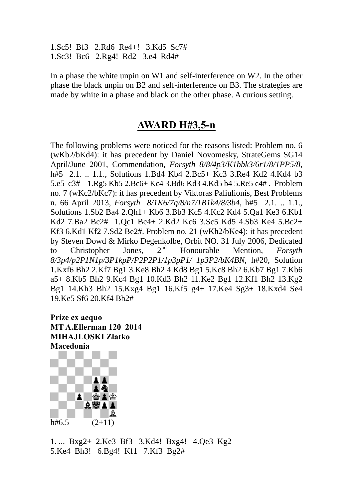1.Sc5! Bf3 2.Rd6 Re4+! 3.Kd5 Sc7# 1.Sc3! Bc6 2.Rg4! Rd2 3.e4 Rd4#

In a phase the white unpin on W1 and self-interference on W2. In the other phase the black unpin on B2 and self-interference on B3. The strategies are made by white in a phase and black on the other phase. A curious setting.

## **AWARD H#3,5-n**

The following problems were noticed for the reasons listed: Problem no. 6 (wKb2/bKd4): it has precedent by Daniel Novomesky, StrateGems SG14 April/June 2001, Commendation, *Forsyth 8/8/4p3/K1bbk3/6r1/8/1PP5/8*, h#5 2.1. .. 1.1., Solutions 1.Bd4 Kb4 2.Bc5+ Kc3 3.Re4 Kd2 4.Kd4 b3 5.e5 c3# 1.Rg5 Kb5 2.Bc6+ Kc4 3.Bd6 Kd3 4.Kd5 b4 5.Re5 c4# . Problem no. 7 (wKc2/bKc7): it has precedent by Viktoras Paliulionis, Best Problems n. 66 April 2013, *Forsyth 8/1K6/7q/8/n7/1B1k4/8/3b4*, h#5 2.1. .. 1.1., Solutions 1.Sb2 Ba4 2.Qh1+ Kb6 3.Bb3 Kc5 4.Kc2 Kd4 5.Qa1 Ke3 6.Kb1 Kd2 7.Ba2 Bc2# 1.Qc1 Bc4+ 2.Kd2 Kc6 3.Sc5 Kd5 4.Sb3 Ke4 5.Bc2+ Kf3 6.Kd1 Kf2 7.Sd2 Be2#. Problem no. 21 (wKh2/bKe4): it has precedent by Steven Dowd & Mirko Degenkolbe, Orbit NO. 31 July 2006, Dedicated to Christopher Jones, 2nd Honourable Mention, *Forsyth 8/3p4/p2P1N1p/3P1kpP/P2P2P1/1p3pP1/ 1p3P2/bK4BN*, h#20, Solution 1.Kxf6 Bh2 2.Kf7 Bg1 3.Ke8 Bh2 4.Kd8 Bg1 5.Kc8 Bh2 6.Kb7 Bg1 7.Kb6 a5+ 8.Kb5 Bh2 9.Kc4 Bg1 10.Kd3 Bh2 11.Ke2 Bg1 12.Kf1 Bh2 13.Kg2 Bg1 14.Kh3 Bh2 15.Kxg4 Bg1 16.Kf5 g4+ 17.Ke4 Sg3+ 18.Kxd4 Se4 19.Ke5 Sf6 20.Kf4 Bh2#

**Prize ex aequo MT A.Ellerman 120 2014 MIHAJLOSKI Zlatko Macedonia** 



1. ... Bxg2+ 2.Ke3 Bf3 3.Kd4! Bxg4! 4.Qe3 Kg2 5.Ke4 Bh3! 6.Bg4! Kf1 7.Kf3 Bg2#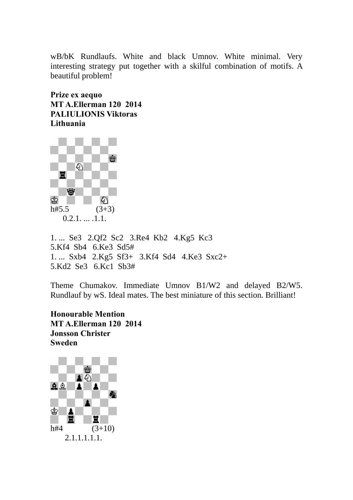wB/bK Rundlaufs. White and black Umnov. White minimal. Very interesting strategy put together with a skilful combination of motifs. A beautiful problem!

**Prize ex aequo MT A.Ellerman 120 2014 PALIULIONIS Viktoras Lithuania**



1. ... Se3 2.Qf2 Sc2 3.Re4 Kb2 4.Kg5 Kc3 5.Kf4 Sb4 6.Ke3 Sd5# 1. ... Sxb4 2.Kg5 Sf3+ 3.Kf4 Sd4 4.Ke3 Sxc2+ 5.Kd2 Se3 6.Kc1 Sb3#

Theme Chumakov. Immediate Umnov B1/W2 and delayed B2/W5. Rundlauf by wS. Ideal mates. The best miniature of this section. Brilliant!

**Honourable Mention MT A.Ellerman 120 2014 Jonsson Christer Sweden**